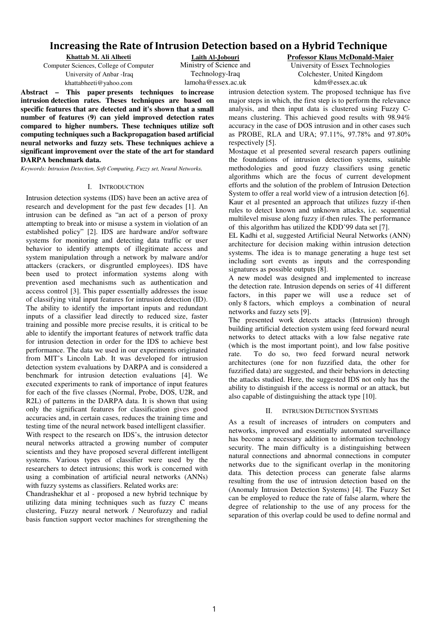# Increasing the Rate of Intrusion Detection based on a Hybrid Technique

**Khattab M. Ali Alheeti** 

Computer Sciences, College of Computer University of Anbar -Iraq khattabheeti@yahoo.com

**Laith Al-Jobouri**  Ministry of Science and Technology-Iraq lamoha@essex.ac.uk

**Abstract – This paper presents techniques to increase intrusion detection rates. Theses techniques are based on specific features that are detected and it's shown that a small number of features (9) can yield improved detection rates compared to higher numbers. These techniques utilize soft computing techniques such a Backpropagation based artificial neural networks and fuzzy sets. These techniques achieve a significant improvement over the state of the art for standard DARPA benchmark data.** 

*Keywords: Intrusion Detection, Soft Computing, Fuzzy set, Neural Networks.* 

#### I. INTRODUCTION

Intrusion detection systems (IDS) have been an active area of research and development for the past few decades [1]. An intrusion can be defined as "an act of a person of proxy attempting to break into or misuse a system in violation of an established policy" [2]. IDS are hardware and/or software systems for monitoring and detecting data traffic or user behavior to identify attempts of illegitimate access and system manipulation through a network by malware and/or attackers (crackers, or disgruntled employees). IDS have been used to protect information systems along with prevention ased mechanisms such as authentication and access control [3]. This paper essentially addresses the issue of classifying vital input features for intrusion detection (ID). The ability to identify the important inputs and redundant inputs of a classifier lead directly to reduced size, faster training and possible more precise results, it is critical to be able to identify the important features of network traffic data for intrusion detection in order for the IDS to achieve best performance. The data we used in our experiments originated from MIT's Lincoln Lab. It was developed for intrusion detection system evaluations by DARPA and is considered a benchmark for intrusion detection evaluations [4]. We executed experiments to rank of importance of input features for each of the five classes (Normal, Probe, DOS, U2R, and R2L) of patterns in the DARPA data. It is shown that using only the significant features for classification gives good accuracies and, in certain cases, reduces the training time and testing time of the neural network based intelligent classifier. With respect to the research on IDS's, the intrusion detector neural networks attracted a growing number of computer

scientists and they have proposed several different intelligent systems. Various types of classifier were used by the researchers to detect intrusions; this work is concerned with using a combination of artificial neural networks (ANNs) with fuzzy systems as classifiers. Related works are:

Chandrashekhar et al - proposed a new hybrid technique by utilizing data mining techniques such as fuzzy C means clustering, Fuzzy neural network / Neurofuzzy and radial basis function support vector machines for strengthening the

# **Professor Klaus McDonald-Maier**

University of Essex Technologies Colchester, United Kingdom kdm@essex.ac.uk

intrusion detection system. The proposed technique has five major steps in which, the first step is to perform the relevance analysis, and then input data is clustered using Fuzzy Cmeans clustering. This achieved good results with 98.94% accuracy in the case of DOS intrusion and in other cases such as PROBE, RLA and URA; 97.11%, 97.78% and 97.80% respectively [5].

Mostaque et al presented several research papers outlining the foundations of intrusion detection systems, suitable methodologies and good fuzzy classifiers using genetic algorithms which are the focus of current development efforts and the solution of the problem of Intrusion Detection System to offer a real world view of a intrusion detection [6]. Kaur et al presented an approach that utilizes fuzzy if-then rules to detect known and unknown attacks, i.e. sequential multilevel misuse along fuzzy if-then rules. The performance of this algorithm has utilized the KDD'99 data set [7].

EL Kadhi et al, suggested Artificial Neural Networks (ANN) architecture for decision making within intrusion detection systems. The idea is to manage generating a huge test set including sort events as inputs and the corresponding signatures as possible outputs [8].

A new model was designed and implemented to increase the detection rate. Intrusion depends on series of 41 different factors, in this paper we will use a reduce set of only 8 factors, which employs a combination of neural networks and fuzzy sets [9].

The presented work detects attacks (Intrusion) through building artificial detection system using feed forward neural networks to detect attacks with a low false negative rate (which is the most important point), and low false positive rate. To do so, two feed forward neural network architectures (one for non fuzzified data, the other for fuzzified data) are suggested, and their behaviors in detecting the attacks studied. Here, the suggested IDS not only has the ability to distinguish if the access is normal or an attack, but also capable of distinguishing the attack type [10].

## II. INTRUSION DETECTION SYSTEMS

As a result of increases of intruders on computers and networks, improved and essentially automated surveillance has become a necessary addition to information technology security. The main difficulty is a distinguishing between natural connections and abnormal connections in computer networks due to the significant overlap in the monitoring data. This detection process can generate false alarms resulting from the use of intrusion detection based on the (Anomaly Intrusion Detection Systems) [4]. The Fuzzy Set can be employed to reduce the rate of false alarm, where the degree of relationship to the use of any process for the separation of this overlap could be used to define normal and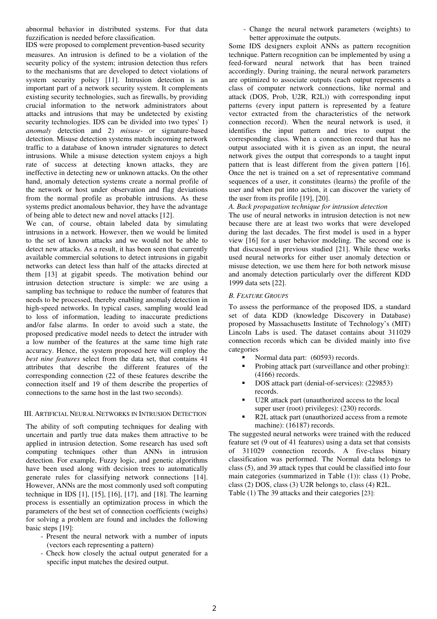abnormal behavior in distributed systems. For that data fuzzification is needed before classification.

IDS were proposed to complement prevention-based security

measures. An intrusion is defined to be a violation of the security policy of the system; intrusion detection thus refers to the mechanisms that are developed to detect violations of system security policy [11]. Intrusion detection is an important part of a network security system. It complements existing security technologies, such as firewalls, by providing crucial information to the network administrators about attacks and intrusions that may be undetected by existing security technologies. IDS can be divided into two types' 1) *anomaly* detection and 2) *misuse*- or signature-based detection. Misuse detection systems match incoming network traffic to a database of known intruder signatures to detect intrusions. While a misuse detection system enjoys a high rate of success at detecting known attacks, they are ineffective in detecting new or unknown attacks. On the other hand, anomaly detection systems create a normal profile of the network or host under observation and flag deviations from the normal profile as probable intrusions. As these systems predict anomalous behavior, they have the advantage of being able to detect new and novel attacks [12].

We can, of course, obtain labeled data by simulating intrusions in a network. However, then we would be limited to the set of known attacks and we would not be able to detect new attacks. As a result, it has been seen that currently available commercial solutions to detect intrusions in gigabit networks can detect less than half of the attacks directed at them [13] at gigabit speeds. The motivation behind our intrusion detection structure is simple: we are using a sampling bas technique to reduce the number of features that needs to be processed, thereby enabling anomaly detection in high-speed networks. In typical cases, sampling would lead to loss of information, leading to inaccurate predictions and/or false alarms. In order to avoid such a state, the proposed predicative model needs to detect the intruder with a low number of the features at the same time high rate accuracy. Hence, the system proposed here will employ the *best nine features* select from the data set, that contains 41 attributes that describe the different features of the corresponding connection (22 of these features describe the connection itself and 19 of them describe the properties of connections to the same host in the last two seconds).

### III. ARTIFICIAL NEURAL NETWORKS IN INTRUSION DETECTION

The ability of soft computing techniques for dealing with uncertain and partly true data makes them attractive to be applied in intrusion detection. Some research has used soft computing techniques other than ANNs in intrusion detection. For example, Fuzzy logic, and genetic algorithms have been used along with decision trees to automatically generate rules for classifying network connections [14]. However, ANNs are the most commonly used soft computing technique in IDS [1], [15], [16], [17], and [18]. The learning process is essentially an optimization process in which the parameters of the best set of connection coefficients (weighs) for solving a problem are found and includes the following basic steps [19]:

- Present the neural network with a number of inputs (vectors each representing a pattern)
- Check how closely the actual output generated for a specific input matches the desired output.

 - Change the neural network parameters (weights) to better approximate the outputs.

Some IDS designers exploit ANNs as pattern recognition technique. Pattern recognition can be implemented by using a feed-forward neural network that has been trained accordingly. During training, the neural network parameters are optimized to associate outputs (each output represents a class of computer network connections, like normal and attack (DOS, Prob, U2R, R2L)) with corresponding input patterns (every input pattern is represented by a feature vector extracted from the characteristics of the network connection record). When the neural network is used, it identifies the input pattern and tries to output the corresponding class. When a connection record that has no output associated with it is given as an input, the neural network gives the output that corresponds to a taught input pattern that is least different from the given pattern [16]. Once the net is trained on a set of representative command sequences of a user, it constitutes (learns) the profile of the user and when put into action, it can discover the variety of the user from its profile [19], [20].

## *A. Back propagation technique for intrusion detection*

The use of neural networks in intrusion detection is not new because there are at least two works that were developed during the last decades. The first model is used in a hyper view [16] for a user behavior modeling. The second one is that discussed in previous studied [21]. While these works used neural networks for either user anomaly detection or misuse detection, we use them here for both network misuse and anomaly detection particularly over the different KDD 1999 data sets [22].

# *B. FEATURE GROUPS*

To assess the performance of the proposed IDS, a standard set of data KDD (knowledge Discovery in Database) proposed by Massachusetts Institute of Technology's (MIT) Lincoln Labs is used. The dataset contains about 311029 connection records which can be divided mainly into five categories

- Normal data part: (60593) records.
- Probing attack part (surveillance and other probing): (4166) records.
- DOS attack part (denial-of-services): (229853) records.
- U2R attack part (unauthorized access to the local super user (root) privileges): (230) records.
- R2L attack part (unauthorized access from a remote machine): (16187) records.

The suggested neural networks were trained with the reduced feature set (9 out of 41 features) using a data set that consists of 311029 connection records. A five-class binary classification was performed. The Normal data belongs to class (5), and 39 attack types that could be classified into four main categories (summarized in Table (1)): class (1) Probe, class (2) DOS, class (3) U2R belongs to, class (4) R2L.

Table (1) The 39 attacks and their categories [23]: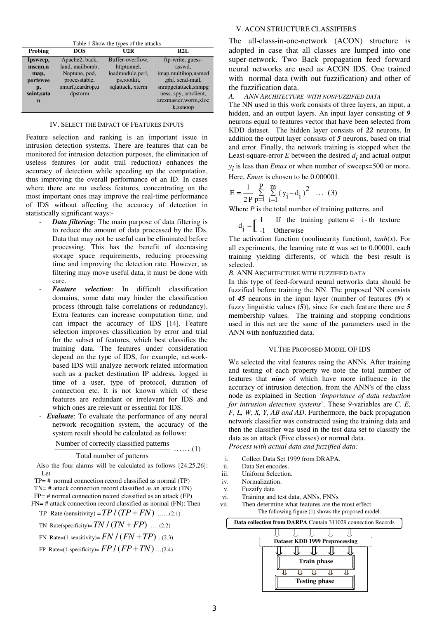| Table 1 Show the types of the attacks                             |                                                                                                      |                                                                                          |                                                                                                                                                                 |  |
|-------------------------------------------------------------------|------------------------------------------------------------------------------------------------------|------------------------------------------------------------------------------------------|-----------------------------------------------------------------------------------------------------------------------------------------------------------------|--|
| Probing                                                           | <b>DOS</b>                                                                                           | U2R                                                                                      | R2L                                                                                                                                                             |  |
| Ipsweep,<br>mscan,n<br>map,<br>portswee<br>p,<br>saint, sata<br>n | Apache2, back,<br>land, mailbomb,<br>Neptune, pod,<br>processtable,<br>smurf, teardrop, u<br>dpstorm | Buffer-overflow,<br>httptunnel,<br>loadmodule, perl,<br>ps, rootkit,<br>sqlattack, xterm | ftp-write, guess-<br>asswd.<br>imap, multihop, named<br>,phf, send-mail,<br>snmpgetattack, snmpg<br>uess, spy, arzclient,<br>arezmaster, worm, xloc<br>k,xsnoop |  |

#### IV. SELECT THE IMPACT OF FEATURES INPUTS

Feature selection and ranking is an important issue in intrusion detection systems. There are features that can be monitored for intrusion detection purposes, the elimination of useless features (or audit trail reduction) enhances the accuracy of detection while speeding up the computation, thus improving the overall performance of an ID. In cases where there are no useless features, concentrating on the most important ones may improve the real-time performance of IDS without affecting the accuracy of detection in statistically significant ways:-

- *Data filtering*: The main purpose of data filtering is to reduce the amount of data processed by the IDs. Data that may not be useful can be eliminated before processing. This has the benefit of decreasing storage space requirements, reducing processing time and improving the detection rate. However, as filtering may move useful data, it must be done with care.
- Feature selection: In difficult classification domains, some data may hinder the classification process (through false correlations or redundancy). Extra features can increase computation time, and can impact the accuracy of IDS [14]. Feature selection improves classification by error and trial for the subset of features, which best classifies the training data. The features under consideration depend on the type of IDS, for example, networkbased IDS will analyze network related information such as a packet destination IP address, logged in time of a user, type of protocol, duration of connection etc. It is not known which of these features are redundant or irrelevant for IDS and which ones are relevant or essential for IDS.
- *Evaluate*: To evaluate the performance of any neural network recognition system, the accuracy of the system result should be calculated as follows:

Number of correctly classified patterns …… (1)

## Total number of patterns

 Also the four alarms will be calculated as follows [24,25,26]: Let

 TP= # normal connection record classified as normal (TP) TN= # attack connection record classified as an attack (TN) FP= # normal connection record classified as an attack (FP) FN= # attack connection record classified as normal (FN): Then

TP\_Rate (sensitivity) =  $TP / (TP + FN)$  ......(2.1)

TN\_Rate(specificity)= $TN / (TN + FP)$  ... (2.2)

FN\_Rate=(1-sensitivity)=  $FN / ( FN + TP)$  ..(2.3)

 $FP\_Rate=(1-specificity)= FP / (FP + TN)$  ...(2.4)

## V. ACON STRUCTURE CLASSIFIERS

The all-class-in-one-network (ACON) structure is adopted in case that all classes are lumped into one super-network. Two Back propagation feed forward neural networks are used as ACON IDS. One trained with normal data (with out fuzzification) and other of the fuzzification data.

#### *A. ANN ARCHITECTURE WITH NONFUZZIFIED DATA*

The NN used in this work consists of three layers, an input, a hidden, and an output layers. An input layer consisting of 9 neurons equal to features vector that have been selected from KDD dataset. The hidden layer consists of *22* neurons. In addition the output layer consists of *5* neurons, based on trial and error. Finally, the network training is stopped when the Least-square-error  $E$  between the desired  $d_i$  and actual output *yi* is less than *Emax* or when number of sweeps=500 or more.

Here, *Emax* is chosen to be 0.000001.

$$
E = \frac{1}{2P} \sum_{p=1}^{P} \sum_{i=1}^{m} (y_i - d_i)^2 \dots (3)
$$

Where *P* is the total number of training patterns, and

$$
d_i = \begin{bmatrix} 1 & \text{If the training pattern} \in i \text{-th texture} \\ -1 & \text{Otherwise} \end{bmatrix}
$$

The activation function (nonlinearity function),  $tanh(x)$ . For all experiments, the learning rate  $\alpha$  was set to 0.00001, each training yielding differents, of which the best result is selected.

# *B.* ANN ARCHITECTURE WITH FUZZIFIED DATA

In this type of feed-forward neural networks data should be fuzzified before training the NN. The proposed NN consists of 45 neurons in the input layer (number of features  $(9) \times$ fuzzy linguistic values (*5*)), since for each feature there are *5* membership values. The training and stopping conditions used in this net are the same of the parameters used in the ANN with nonfuzzified data.

#### VI.THE PROPOSED MODEL OF IDS

We selected the vital features using the ANNs. After training and testing of each property we note the total number of features that *nine* of which have more influence in the accuracy of intrusion detection, from the ANN's of the class node as explained in Section '*Importance of data reduction for intrusion detection systems*'. These *9*-variables are *C, E, F, L, W, X, Y, AB and AD*. Furthermore, the back propagation network classifier was constructed using the training data and then the classifier was used in the test data set to classify the data as an attack (Five classes) or normal data. *Process with actual data and fuzzified data:* 

i. Collect Data Set 1999 from DRAPA.

- ii. Data Set encodes.
- iii. Uniform Selection.
- iv. Normalization.
- v. Fuzzify data
- vi. Training and test data, ANNs, FNNs
- vii. Then determine what features are the most effect. The following figure (1) shows the proposed model:

| <b>Dataset KDD 1999 Preprocessing</b><br><b>Train phase</b> |
|-------------------------------------------------------------|
|                                                             |
|                                                             |
|                                                             |
|                                                             |
|                                                             |
| <b>Testing phase</b>                                        |
|                                                             |

**Data collection from DARPA** Contain 311029 connection Records